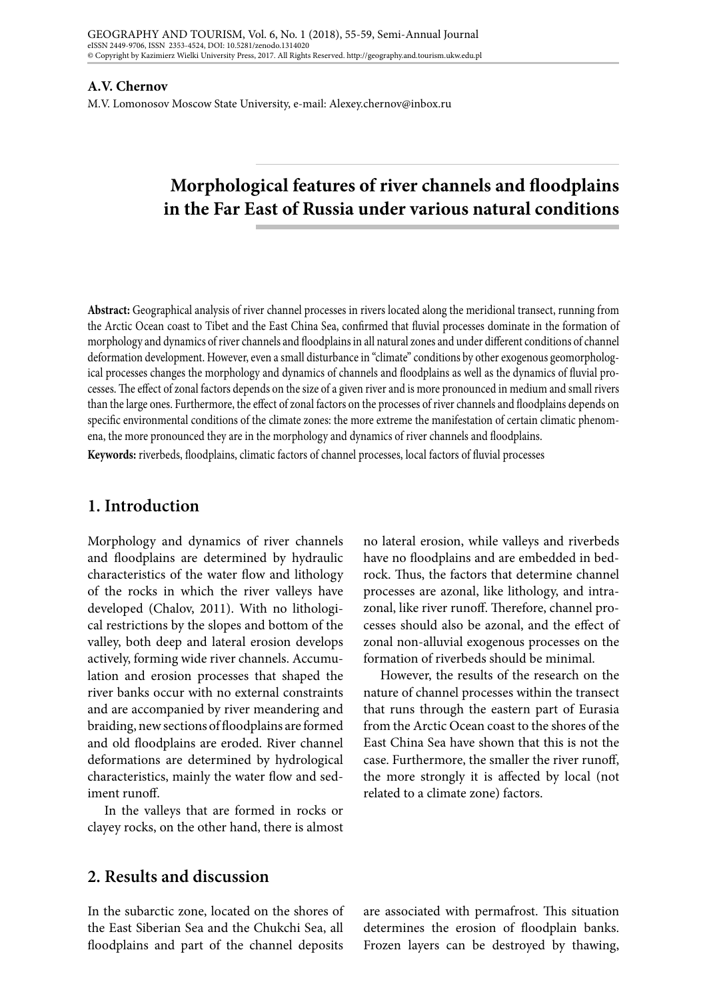#### **A.V. Chernov**

M.V. Lomonosov Moscow State University, e-mail: Alexey.chernov@inbox.ru

# **Morphological features of river channels and floodplains in the Far East of Russia under various natural conditions**

**Abstract:** Geographical analysis of river channel processes in rivers located along the meridional transect, running from the Arctic Ocean coast to Tibet and the East China Sea, confirmed that fluvial processes dominate in the formation of morphology and dynamics of river channels and floodplains in all natural zones and under different conditions of channel deformation development. However, even a small disturbance in "climate" conditions by other exogenous geomorphological processes changes the morphology and dynamics of channels and floodplains as well as the dynamics of fluvial processes. The effect of zonal factors depends on the size of a given river and is more pronounced in medium and small rivers than the large ones. Furthermore, the effect of zonal factors on the processes of river channels and floodplains depends on specific environmental conditions of the climate zones: the more extreme the manifestation of certain climatic phenomena, the more pronounced they are in the morphology and dynamics of river channels and floodplains.

**Keywords:** riverbeds, floodplains, climatic factors of channel processes, local factors of fluvial processes

### **1. Introduction**

Morphology and dynamics of river channels and floodplains are determined by hydraulic characteristics of the water flow and lithology of the rocks in which the river valleys have developed (Chalov, 2011). With no lithological restrictions by the slopes and bottom of the valley, both deep and lateral erosion develops actively, forming wide river channels. Accumulation and erosion processes that shaped the river banks occur with no external constraints and are accompanied by river meandering and braiding, new sections of floodplains are formed and old floodplains are eroded. River channel deformations are determined by hydrological characteristics, mainly the water flow and sediment runoff.

In the valleys that are formed in rocks or clayey rocks, on the other hand, there is almost no lateral erosion, while valleys and riverbeds have no floodplains and are embedded in bedrock. Thus, the factors that determine channel processes are azonal, like lithology, and intrazonal, like river runoff. Therefore, channel processes should also be azonal, and the effect of zonal non-alluvial exogenous processes on the formation of riverbeds should be minimal.

However, the results of the research on the nature of channel processes within the transect that runs through the eastern part of Eurasia from the Arctic Ocean coast to the shores of the East China Sea have shown that this is not the case. Furthermore, the smaller the river runoff, the more strongly it is affected by local (not related to a climate zone) factors.

# **2. Results and discussion**

In the subarctic zone, located on the shores of the East Siberian Sea and the Chukchi Sea, all floodplains and part of the channel deposits

are associated with permafrost. This situation determines the erosion of floodplain banks. Frozen layers can be destroyed by thawing,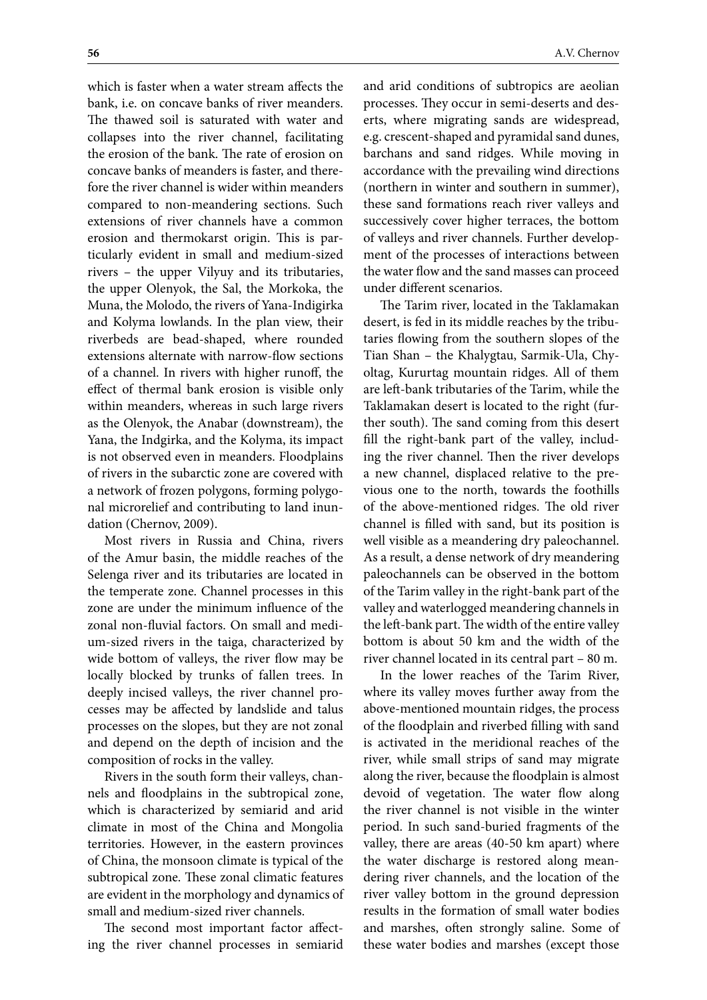which is faster when a water stream affects the bank, i.e. on concave banks of river meanders. The thawed soil is saturated with water and collapses into the river channel, facilitating the erosion of the bank. The rate of erosion on concave banks of meanders is faster, and therefore the river channel is wider within meanders compared to non-meandering sections. Such extensions of river channels have a common erosion and thermokarst origin. This is particularly evident in small and medium-sized rivers – the upper Vilyuy and its tributaries, the upper Olenyok, the Sal, the Morkoka, the Muna, the Molodo, the rivers of Yana-Indigirka and Kolyma lowlands. In the plan view, their riverbeds are bead-shaped, where rounded extensions alternate with narrow-flow sections of a channel. In rivers with higher runoff, the effect of thermal bank erosion is visible only within meanders, whereas in such large rivers as the Olenyok, the Anabar (downstream), the Yana, the Indgirka, and the Kolyma, its impact is not observed even in meanders. Floodplains of rivers in the subarctic zone are covered with a network of frozen polygons, forming polygonal microrelief and contributing to land inundation (Chernov, 2009).

Most rivers in Russia and China, rivers of the Amur basin, the middle reaches of the Selenga river and its tributaries are located in the temperate zone. Channel processes in this zone are under the minimum influence of the zonal non-fluvial factors. On small and medium-sized rivers in the taiga, characterized by wide bottom of valleys, the river flow may be locally blocked by trunks of fallen trees. In deeply incised valleys, the river channel processes may be affected by landslide and talus processes on the slopes, but they are not zonal and depend on the depth of incision and the composition of rocks in the valley.

Rivers in the south form their valleys, channels and floodplains in the subtropical zone, which is characterized by semiarid and arid climate in most of the China and Mongolia territories. However, in the eastern provinces of China, the monsoon climate is typical of the subtropical zone. These zonal climatic features are evident in the morphology and dynamics of small and medium-sized river channels.

The second most important factor affecting the river channel processes in semiarid and arid conditions of subtropics are aeolian processes. They occur in semi-deserts and deserts, where migrating sands are widespread, e.g. crescent-shaped and pyramidal sand dunes, barchans and sand ridges. While moving in accordance with the prevailing wind directions (northern in winter and southern in summer), these sand formations reach river valleys and successively cover higher terraces, the bottom of valleys and river channels. Further development of the processes of interactions between the water flow and the sand masses can proceed under different scenarios.

The Tarim river, located in the Taklamakan desert, is fed in its middle reaches by the tributaries flowing from the southern slopes of the Tian Shan – the Khalygtau, Sarmik-Ula, Chyoltag, Kururtag mountain ridges. All of them are left-bank tributaries of the Tarim, while the Taklamakan desert is located to the right (further south). The sand coming from this desert fill the right-bank part of the valley, including the river channel. Then the river develops a new channel, displaced relative to the previous one to the north, towards the foothills of the above-mentioned ridges. The old river channel is filled with sand, but its position is well visible as a meandering dry paleochannel. As a result, a dense network of dry meandering paleochannels can be observed in the bottom of the Tarim valley in the right-bank part of the valley and waterlogged meandering channels in the left-bank part. The width of the entire valley bottom is about 50 km and the width of the river channel located in its central part – 80 m.

In the lower reaches of the Tarim River, where its valley moves further away from the above-mentioned mountain ridges, the process of the floodplain and riverbed filling with sand is activated in the meridional reaches of the river, while small strips of sand may migrate along the river, because the floodplain is almost devoid of vegetation. The water flow along the river channel is not visible in the winter period. In such sand-buried fragments of the valley, there are areas (40-50 km apart) where the water discharge is restored along meandering river channels, and the location of the river valley bottom in the ground depression results in the formation of small water bodies and marshes, often strongly saline. Some of these water bodies and marshes (except those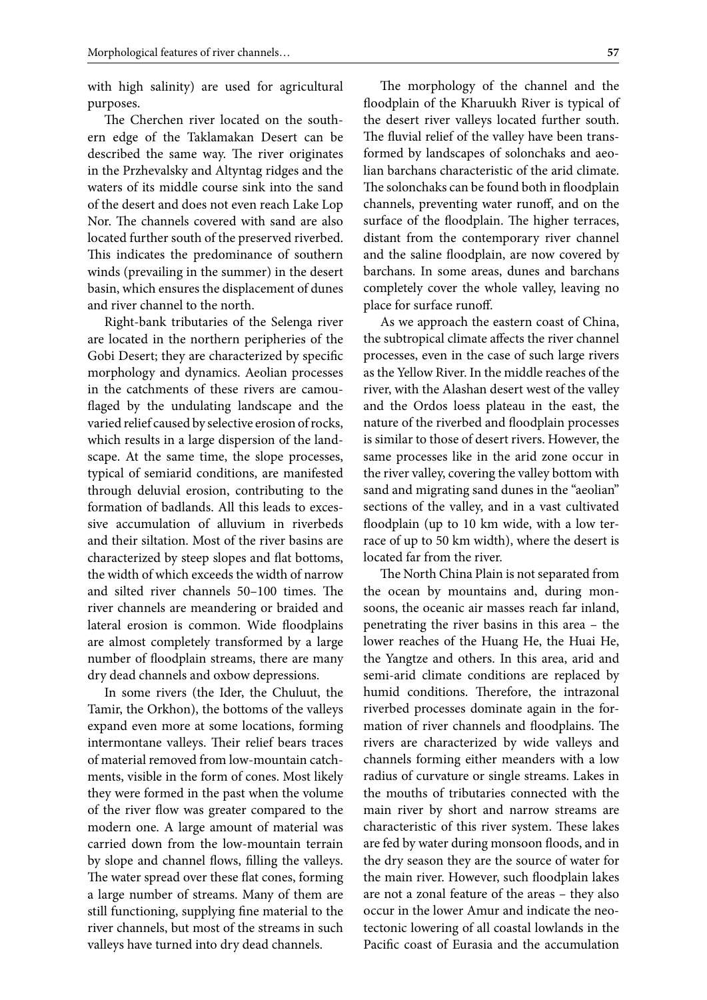with high salinity) are used for agricultural purposes.

The Cherchen river located on the southern edge of the Taklamakan Desert can be described the same way. The river originates in the Przhevalsky and Altyntag ridges and the waters of its middle course sink into the sand of the desert and does not even reach Lake Lop Nor. The channels covered with sand are also located further south of the preserved riverbed. This indicates the predominance of southern winds (prevailing in the summer) in the desert basin, which ensures the displacement of dunes and river channel to the north.

Right-bank tributaries of the Selenga river are located in the northern peripheries of the Gobi Desert; they are characterized by specific morphology and dynamics. Aeolian processes in the catchments of these rivers are camouflaged by the undulating landscape and the varied relief caused by selective erosion of rocks, which results in a large dispersion of the landscape. At the same time, the slope processes, typical of semiarid conditions, are manifested through deluvial erosion, contributing to the formation of badlands. All this leads to excessive accumulation of alluvium in riverbeds and their siltation. Most of the river basins are characterized by steep slopes and flat bottoms, the width of which exceeds the width of narrow and silted river channels 50–100 times. The river channels are meandering or braided and lateral erosion is common. Wide floodplains are almost completely transformed by a large number of floodplain streams, there are many dry dead channels and oxbow depressions.

In some rivers (the Ider, the Chuluut, the Tamir, the Orkhon), the bottoms of the valleys expand even more at some locations, forming intermontane valleys. Their relief bears traces of material removed from low-mountain catchments, visible in the form of cones. Most likely they were formed in the past when the volume of the river flow was greater compared to the modern one. A large amount of material was carried down from the low-mountain terrain by slope and channel flows, filling the valleys. The water spread over these flat cones, forming a large number of streams. Many of them are still functioning, supplying fine material to the river channels, but most of the streams in such valleys have turned into dry dead channels.

The morphology of the channel and the floodplain of the Kharuukh River is typical of the desert river valleys located further south. The fluvial relief of the valley have been transformed by landscapes of solonchaks and aeolian barchans characteristic of the arid climate. The solonchaks can be found both in floodplain channels, preventing water runoff, and on the surface of the floodplain. The higher terraces, distant from the contemporary river channel and the saline floodplain, are now covered by barchans. In some areas, dunes and barchans completely cover the whole valley, leaving no place for surface runoff.

As we approach the eastern coast of China, the subtropical climate affects the river channel processes, even in the case of such large rivers as the Yellow River. In the middle reaches of the river, with the Alashan desert west of the valley and the Ordos loess plateau in the east, the nature of the riverbed and floodplain processes is similar to those of desert rivers. However, the same processes like in the arid zone occur in the river valley, covering the valley bottom with sand and migrating sand dunes in the "aeolian" sections of the valley, and in a vast cultivated floodplain (up to 10 km wide, with a low terrace of up to 50 km width), where the desert is located far from the river.

The North China Plain is not separated from the ocean by mountains and, during monsoons, the oceanic air masses reach far inland, penetrating the river basins in this area – the lower reaches of the Huang He, the Huai He, the Yangtze and others. In this area, arid and semi-arid climate conditions are replaced by humid conditions. Therefore, the intrazonal riverbed processes dominate again in the formation of river channels and floodplains. The rivers are characterized by wide valleys and channels forming either meanders with a low radius of curvature or single streams. Lakes in the mouths of tributaries connected with the main river by short and narrow streams are characteristic of this river system. These lakes are fed by water during monsoon floods, and in the dry season they are the source of water for the main river. However, such floodplain lakes are not a zonal feature of the areas – they also occur in the lower Amur and indicate the neotectonic lowering of all coastal lowlands in the Pacific coast of Eurasia and the accumulation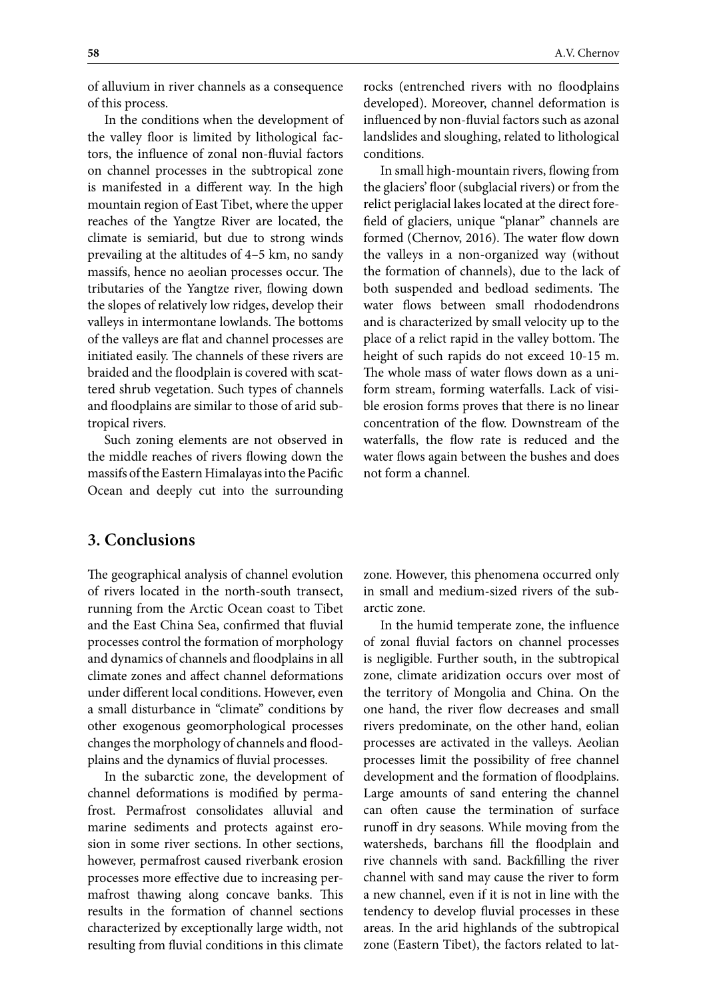of alluvium in river channels as a consequence of this process.

In the conditions when the development of the valley floor is limited by lithological factors, the influence of zonal non-fluvial factors on channel processes in the subtropical zone is manifested in a different way. In the high mountain region of East Tibet, where the upper reaches of the Yangtze River are located, the climate is semiarid, but due to strong winds prevailing at the altitudes of 4–5 km, no sandy massifs, hence no aeolian processes occur. The tributaries of the Yangtze river, flowing down the slopes of relatively low ridges, develop their valleys in intermontane lowlands. The bottoms of the valleys are flat and channel processes are initiated easily. The channels of these rivers are braided and the floodplain is covered with scattered shrub vegetation. Such types of channels and floodplains are similar to those of arid subtropical rivers.

Such zoning elements are not observed in the middle reaches of rivers flowing down the massifs of the Eastern Himalayas into the Pacific Ocean and deeply cut into the surrounding

**3. Conclusions**

The geographical analysis of channel evolution of rivers located in the north-south transect, running from the Arctic Ocean coast to Tibet and the East China Sea, confirmed that fluvial processes control the formation of morphology and dynamics of channels and floodplains in all climate zones and affect channel deformations under different local conditions. However, even a small disturbance in "climate" conditions by other exogenous geomorphological processes changes the morphology of channels and floodplains and the dynamics of fluvial processes.

In the subarctic zone, the development of channel deformations is modified by permafrost. Permafrost consolidates alluvial and marine sediments and protects against erosion in some river sections. In other sections, however, permafrost caused riverbank erosion processes more effective due to increasing permafrost thawing along concave banks. This results in the formation of channel sections characterized by exceptionally large width, not resulting from fluvial conditions in this climate

rocks (entrenched rivers with no floodplains developed). Moreover, channel deformation is influenced by non-fluvial factors such as azonal landslides and sloughing, related to lithological conditions.

In small high-mountain rivers, flowing from the glaciers' floor (subglacial rivers) or from the relict periglacial lakes located at the direct forefield of glaciers, unique "planar" channels are formed (Chernov, 2016). The water flow down the valleys in a non-organized way (without the formation of channels), due to the lack of both suspended and bedload sediments. The water flows between small rhododendrons and is characterized by small velocity up to the place of a relict rapid in the valley bottom. The height of such rapids do not exceed 10-15 m. The whole mass of water flows down as a uniform stream, forming waterfalls. Lack of visible erosion forms proves that there is no linear concentration of the flow. Downstream of the waterfalls, the flow rate is reduced and the water flows again between the bushes and does not form a channel.

zone. However, this phenomena occurred only in small and medium-sized rivers of the subarctic zone.

In the humid temperate zone, the influence of zonal fluvial factors on channel processes is negligible. Further south, in the subtropical zone, climate aridization occurs over most of the territory of Mongolia and China. On the one hand, the river flow decreases and small rivers predominate, on the other hand, eolian processes are activated in the valleys. Aeolian processes limit the possibility of free channel development and the formation of floodplains. Large amounts of sand entering the channel can often cause the termination of surface runoff in dry seasons. While moving from the watersheds, barchans fill the floodplain and rive channels with sand. Backfilling the river channel with sand may cause the river to form a new channel, even if it is not in line with the tendency to develop fluvial processes in these areas. In the arid highlands of the subtropical zone (Eastern Tibet), the factors related to lat